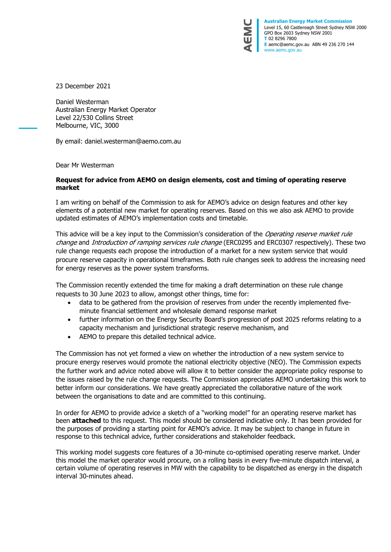

**Australian Energy Market Commission** Level 15, 60 Castlereagh Street Sydney NSW 2000 GPO Box 2603 Sydney NSW 2001 **T** 02 8296 7800 **E** aemc@aemc.gov.au ABN 49 236 270 144 www.aemc.gov.au

23 December 2021

Daniel Westerman Australian Energy Market Operator Level 22/530 Collins Street Melbourne, VIC, 3000

By email: [daniel.westerman@aemo.com.au](mailto:daniel.westerman@aemo.com.au)

Dear Mr Westerman

#### **Request for advice from AEMO on design elements, cost and timing of operating reserve market**

I am writing on behalf of the Commission to ask for AEMO's advice on design features and other key elements of a potential new market for operating reserves. Based on this we also ask AEMO to provide updated estimates of AEMO's implementation costs and timetable.

This advice will be a key input to the Commission's consideration of the Operating reserve market rule change and *Introduction of ramping services rule change* (ERC0295 and ERC0307 respectively). These two rule change requests each propose the introduction of a market for a new system service that would procure reserve capacity in operational timeframes. Both rule changes seek to address the increasing need for energy reserves as the power system transforms.

The Commission recently extended the time for making a draft determination on these rule change requests to 30 June 2023 to allow, amongst other things, time for:

- data to be gathered from the provision of reserves from under the recently implemented fiveminute financial settlement and wholesale demand response market
- further information on the Energy Security Board's progression of post 2025 reforms relating to a capacity mechanism and jurisdictional strategic reserve mechanism, and
- AEMO to prepare this detailed technical advice.

The Commission has not yet formed a view on whether the introduction of a new system service to procure energy reserves would promote the national electricity objective (NEO). The Commission expects the further work and advice noted above will allow it to better consider the appropriate policy response to the issues raised by the rule change requests. The Commission appreciates AEMO undertaking this work to better inform our considerations. We have greatly appreciated the collaborative nature of the work between the organisations to date and are committed to this continuing.

In order for AEMO to provide advice a sketch of a "working model" for an operating reserve market has been **attached** to this request. This model should be considered indicative only. It has been provided for the purposes of providing a starting point for AEMO's advice. It may be subject to change in future in response to this technical advice, further considerations and stakeholder feedback.

This working model suggests core features of a 30-minute co-optimised operating reserve market. Under this model the market operator would procure, on a rolling basis in every five-minute dispatch interval, a certain volume of operating reserves in MW with the capability to be dispatched as energy in the dispatch interval 30-minutes ahead.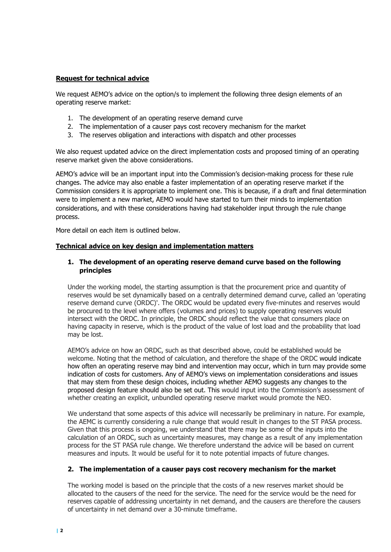# **Request for technical advice**

We request AEMO's advice on the option/s to implement the following three design elements of an operating reserve market:

- 1. The development of an operating reserve demand curve
- 2. The implementation of a causer pays cost recovery mechanism for the market
- 3. The reserves obligation and interactions with dispatch and other processes

We also request updated advice on the direct implementation costs and proposed timing of an operating reserve market given the above considerations.

AEMO's advice will be an important input into the Commission's decision-making process for these rule changes. The advice may also enable a faster implementation of an operating reserve market if the Commission considers it is appropriate to implement one. This is because, if a draft and final determination were to implement a new market, AEMO would have started to turn their minds to implementation considerations, and with these considerations having had stakeholder input through the rule change process.

More detail on each item is outlined below.

## **Technical advice on key design and implementation matters**

## **1. The development of an operating reserve demand curve based on the following principles**

Under the working model, the starting assumption is that the procurement price and quantity of reserves would be set dynamically based on a centrally determined demand curve, called an 'operating reserve demand curve (ORDC)'. The ORDC would be updated every five-minutes and reserves would be procured to the level where offers (volumes and prices) to supply operating reserves would intersect with the ORDC. In principle, the ORDC should reflect the value that consumers place on having capacity in reserve, which is the product of the value of lost load and the probability that load may be lost.

AEMO's advice on how an ORDC, such as that described above, could be established would be welcome. Noting that the method of calculation, and therefore the shape of the ORDC would indicate how often an operating reserve may bind and intervention may occur, which in turn may provide some indication of costs for customers. Any of AEMO's views on implementation considerations and issues that may stem from these design choices, including whether AEMO suggests any changes to the proposed design feature should also be set out. This would input into the Commission's assessment of whether creating an explicit, unbundled operating reserve market would promote the NEO.

We understand that some aspects of this advice will necessarily be preliminary in nature. For example, the AEMC is currently considering a rule change that would result in changes to the ST PASA process. Given that this process is ongoing, we understand that there may be some of the inputs into the calculation of an ORDC, such as uncertainty measures, may change as a result of any implementation process for the ST PASA rule change. We therefore understand the advice will be based on current measures and inputs. It would be useful for it to note potential impacts of future changes.

## **2. The implementation of a causer pays cost recovery mechanism for the market**

The working model is based on the principle that the costs of a new reserves market should be allocated to the causers of the need for the service. The need for the service would be the need for reserves capable of addressing uncertainty in net demand, and the causers are therefore the causers of uncertainty in net demand over a 30-minute timeframe.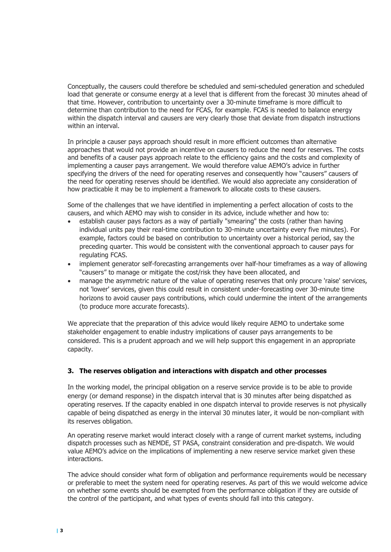Conceptually, the causers could therefore be scheduled and semi-scheduled generation and scheduled load that generate or consume energy at a level that is different from the forecast 30 minutes ahead of that time. However, contribution to uncertainty over a 30-minute timeframe is more difficult to determine than contribution to the need for FCAS, for example. FCAS is needed to balance energy within the dispatch interval and causers are very clearly those that deviate from dispatch instructions within an interval.

In principle a causer pays approach should result in more efficient outcomes than alternative approaches that would not provide an incentive on causers to reduce the need for reserves. The costs and benefits of a causer pays approach relate to the efficiency gains and the costs and complexity of implementing a causer pays arrangement. We would therefore value AEMO's advice in further specifying the drivers of the need for operating reserves and consequently how "causers" causers of the need for operating reserves should be identified. We would also appreciate any consideration of how practicable it may be to implement a framework to allocate costs to these causers.

Some of the challenges that we have identified in implementing a perfect allocation of costs to the causers, and which AEMO may wish to consider in its advice, include whether and how to:

- establish causer pays factors as a way of partially "smearing" the costs (rather than having individual units pay their real-time contribution to 30-minute uncertainty every five minutes). For example, factors could be based on contribution to uncertainty over a historical period, say the preceding quarter. This would be consistent with the conventional approach to causer pays for regulating FCAS.
- implement generator self-forecasting arrangements over half-hour timeframes as a way of allowing "causers" to manage or mitigate the cost/risk they have been allocated, and
- manage the asymmetric nature of the value of operating reserves that only procure 'raise' services, not 'lower' services, given this could result in consistent under-forecasting over 30-minute time horizons to avoid causer pays contributions, which could undermine the intent of the arrangements (to produce more accurate forecasts).

We appreciate that the preparation of this advice would likely require AEMO to undertake some stakeholder engagement to enable industry implications of causer pays arrangements to be considered. This is a prudent approach and we will help support this engagement in an appropriate capacity.

## **3. The reserves obligation and interactions with dispatch and other processes**

In the working model, the principal obligation on a reserve service provide is to be able to provide energy (or demand response) in the dispatch interval that is 30 minutes after being dispatched as operating reserves. If the capacity enabled in one dispatch interval to provide reserves is not physically capable of being dispatched as energy in the interval 30 minutes later, it would be non-compliant with its reserves obligation.

An operating reserve market would interact closely with a range of current market systems, including dispatch processes such as NEMDE, ST PASA, constraint consideration and pre-dispatch. We would value AEMO's advice on the implications of implementing a new reserve service market given these interactions.

The advice should consider what form of obligation and performance requirements would be necessary or preferable to meet the system need for operating reserves. As part of this we would welcome advice on whether some events should be exempted from the performance obligation if they are outside of the control of the participant, and what types of events should fall into this category.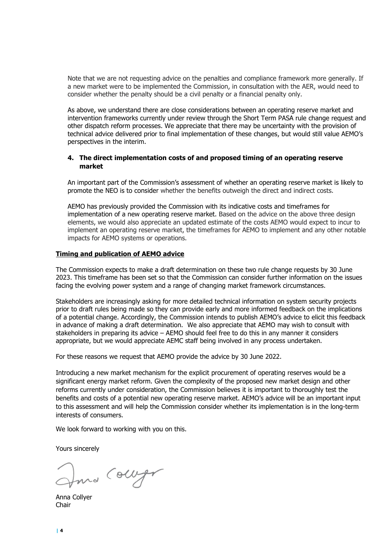Note that we are not requesting advice on the penalties and compliance framework more generally. If a new market were to be implemented the Commission, in consultation with the AER, would need to consider whether the penalty should be a civil penalty or a financial penalty only.

As above, we understand there are close considerations between an operating reserve market and intervention frameworks currently under review through the Short Term PASA rule change request and other dispatch reform processes. We appreciate that there may be uncertainty with the provision of technical advice delivered prior to final implementation of these changes, but would still value AEMO's perspectives in the interim.

## **4. The direct implementation costs of and proposed timing of an operating reserve market**

An important part of the Commission's assessment of whether an operating reserve market is likely to promote the NEO is to consider whether the benefits outweigh the direct and indirect costs.

AEMO has previously provided the Commission with its indicative costs and timeframes for implementation of a new operating reserve market. Based on the advice on the above three design elements, we would also appreciate an updated estimate of the costs AEMO would expect to incur to implement an operating reserve market, the timeframes for AEMO to implement and any other notable impacts for AEMO systems or operations.

#### **Timing and publication of AEMO advice**

The Commission expects to make a draft determination on these two rule change requests by 30 June 2023. This timeframe has been set so that the Commission can consider further information on the issues facing the evolving power system and a range of changing market framework circumstances.

Stakeholders are increasingly asking for more detailed technical information on system security projects prior to draft rules being made so they can provide early and more informed feedback on the implications of a potential change. Accordingly, the Commission intends to publish AEMO's advice to elicit this feedback in advance of making a draft determination. We also appreciate that AEMO may wish to consult with stakeholders in preparing its advice – AEMO should feel free to do this in any manner it considers appropriate, but we would appreciate AEMC staff being involved in any process undertaken.

For these reasons we request that AEMO provide the advice by 30 June 2022.

Introducing a new market mechanism for the explicit procurement of operating reserves would be a significant energy market reform. Given the complexity of the proposed new market design and other reforms currently under consideration, the Commission believes it is important to thoroughly test the benefits and costs of a potential new operating reserve market. AEMO's advice will be an important input to this assessment and will help the Commission consider whether its implementation is in the long-term interests of consumers.

We look forward to working with you on this.

Yours sincerely

Juna Colleger

Anna Collyer Chair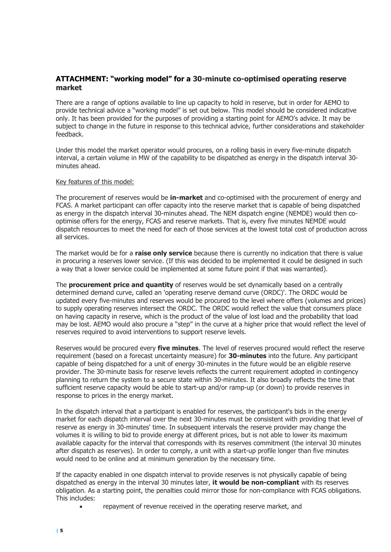# **ATTACHMENT: "working model" for a 30-minute co-optimised operating reserve market**

There are a range of options available to line up capacity to hold in reserve, but in order for AEMO to provide technical advice a "working model" is set out below. This model should be considered indicative only. It has been provided for the purposes of providing a starting point for AEMO's advice. It may be subject to change in the future in response to this technical advice, further considerations and stakeholder feedback.

Under this model the market operator would procures, on a rolling basis in every five-minute dispatch interval, a certain volume in MW of the capability to be dispatched as energy in the dispatch interval 30 minutes ahead.

#### Key features of this model:

The procurement of reserves would be **in-market** and co-optimised with the procurement of energy and FCAS. A market participant can offer capacity into the reserve market that is capable of being dispatched as energy in the dispatch interval 30-minutes ahead. The NEM dispatch engine (NEMDE) would then cooptimise offers for the energy, FCAS and reserve markets. That is, every five minutes NEMDE would dispatch resources to meet the need for each of those services at the lowest total cost of production across all services.

The market would be for a **raise only service** because there is currently no indication that there is value in procuring a reserves lower service. (If this was decided to be implemented it could be designed in such a way that a lower service could be implemented at some future point if that was warranted).

The **procurement price and quantity** of reserves would be set dynamically based on a centrally determined demand curve, called an 'operating reserve demand curve (ORDC)'. The ORDC would be updated every five-minutes and reserves would be procured to the level where offers (volumes and prices) to supply operating reserves intersect the ORDC. The ORDC would reflect the value that consumers place on having capacity in reserve, which is the product of the value of lost load and the probability that load may be lost. AEMO would also procure a "step" in the curve at a higher price that would reflect the level of reserves required to avoid interventions to support reserve levels.

Reserves would be procured every **five minutes**. The level of reserves procured would reflect the reserve requirement (based on a forecast uncertainty measure) for **30-minutes** into the future. Any participant capable of being dispatched for a unit of energy 30-minutes in the future would be an eligible reserve provider. The 30-minute basis for reserve levels reflects the current requirement adopted in contingency planning to return the system to a secure state within 30-minutes. It also broadly reflects the time that sufficient reserve capacity would be able to start-up and/or ramp-up (or down) to provide reserves in response to prices in the energy market.

In the dispatch interval that a participant is enabled for reserves, the participant's bids in the energy market for each dispatch interval over the next 30-minutes must be consistent with providing that level of reserve as energy in 30-minutes' time. In subsequent intervals the reserve provider may change the volumes it is willing to bid to provide energy at different prices, but is not able to lower its maximum available capacity for the interval that corresponds with its reserves commitment (the interval 30 minutes after dispatch as reserves). In order to comply, a unit with a start-up profile longer than five minutes would need to be online and at minimum generation by the necessary time.

If the capacity enabled in one dispatch interval to provide reserves is not physically capable of being dispatched as energy in the interval 30 minutes later, **it would be non-compliant** with its reserves obligation. As a starting point, the penalties could mirror those for non-compliance with FCAS obligations. This includes:

repayment of revenue received in the operating reserve market, and